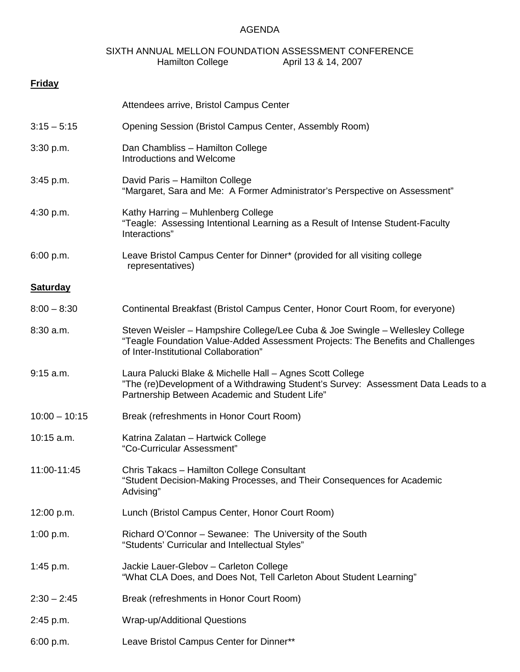## AGENDA

## SIXTH ANNUAL MELLON FOUNDATION ASSESSMENT CONFERENCE<br>Hamilton College April 13 & 14, 2007 April 13 & 14, 2007

| <b>Friday</b>   |                                                                                                                                                                                                           |
|-----------------|-----------------------------------------------------------------------------------------------------------------------------------------------------------------------------------------------------------|
|                 | Attendees arrive, Bristol Campus Center                                                                                                                                                                   |
| $3:15 - 5:15$   | Opening Session (Bristol Campus Center, Assembly Room)                                                                                                                                                    |
| 3:30 p.m.       | Dan Chambliss - Hamilton College<br>Introductions and Welcome                                                                                                                                             |
| $3:45$ p.m.     | David Paris - Hamilton College<br>"Margaret, Sara and Me: A Former Administrator's Perspective on Assessment"                                                                                             |
| 4:30 p.m.       | Kathy Harring - Muhlenberg College<br>"Teagle: Assessing Intentional Learning as a Result of Intense Student-Faculty<br>Interactions"                                                                     |
| 6:00 p.m.       | Leave Bristol Campus Center for Dinner* (provided for all visiting college<br>representatives)                                                                                                            |
| <b>Saturday</b> |                                                                                                                                                                                                           |
| $8:00 - 8:30$   | Continental Breakfast (Bristol Campus Center, Honor Court Room, for everyone)                                                                                                                             |
| $8:30$ a.m.     | Steven Weisler - Hampshire College/Lee Cuba & Joe Swingle - Wellesley College<br>"Teagle Foundation Value-Added Assessment Projects: The Benefits and Challenges<br>of Inter-Institutional Collaboration" |
| $9:15$ a.m.     | Laura Palucki Blake & Michelle Hall - Agnes Scott College<br>"The (re)Development of a Withdrawing Student's Survey: Assessment Data Leads to a<br>Partnership Between Academic and Student Life"         |
| $10:00 - 10:15$ | Break (refreshments in Honor Court Room)                                                                                                                                                                  |
| $10:15$ a.m.    | Katrina Zalatan - Hartwick College<br>"Co-Curricular Assessment"                                                                                                                                          |
| 11:00-11:45     | Chris Takacs - Hamilton College Consultant<br>"Student Decision-Making Processes, and Their Consequences for Academic<br>Advising"                                                                        |
| 12:00 p.m.      | Lunch (Bristol Campus Center, Honor Court Room)                                                                                                                                                           |
| 1:00 p.m.       | Richard O'Connor – Sewanee: The University of the South<br>"Students' Curricular and Intellectual Styles"                                                                                                 |
| 1:45 p.m.       | Jackie Lauer-Glebov - Carleton College<br>"What CLA Does, and Does Not, Tell Carleton About Student Learning"                                                                                             |
| $2:30 - 2:45$   | Break (refreshments in Honor Court Room)                                                                                                                                                                  |
| 2:45 p.m.       | Wrap-up/Additional Questions                                                                                                                                                                              |
| 6:00 p.m.       | Leave Bristol Campus Center for Dinner**                                                                                                                                                                  |